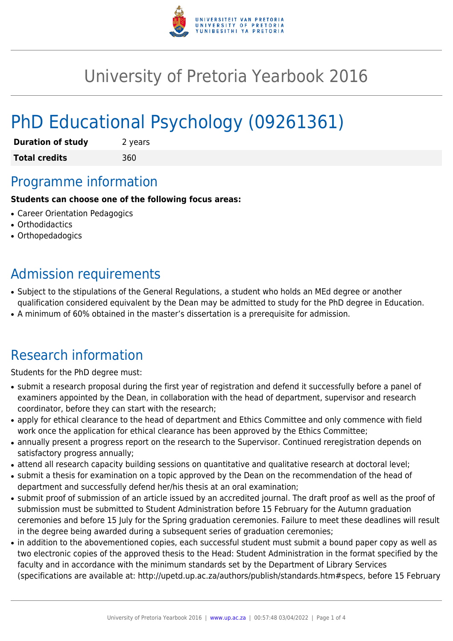

## University of Pretoria Yearbook 2016

# PhD Educational Psychology (09261361)

| <b>Duration of study</b> | 2 years |
|--------------------------|---------|
| <b>Total credits</b>     | 360     |

### Programme information

#### **Students can choose one of the following focus areas:**

- Career Orientation Pedagogics
- Orthodidactics
- Orthopedadogics

### Admission requirements

- Subject to the stipulations of the General Regulations, a student who holds an MEd degree or another qualification considered equivalent by the Dean may be admitted to study for the PhD degree in Education.
- A minimum of 60% obtained in the master's dissertation is a prerequisite for admission.

### Research information

Students for the PhD degree must:

- submit a research proposal during the first year of registration and defend it successfully before a panel of examiners appointed by the Dean, in collaboration with the head of department, supervisor and research coordinator, before they can start with the research;
- apply for ethical clearance to the head of department and Ethics Committee and only commence with field work once the application for ethical clearance has been approved by the Ethics Committee;
- annually present a progress report on the research to the Supervisor. Continued reregistration depends on satisfactory progress annually;
- attend all research capacity building sessions on quantitative and qualitative research at doctoral level;
- submit a thesis for examination on a topic approved by the Dean on the recommendation of the head of department and successfully defend her/his thesis at an oral examination;
- submit proof of submission of an article issued by an accredited journal. The draft proof as well as the proof of submission must be submitted to Student Administration before 15 February for the Autumn graduation ceremonies and before 15 July for the Spring graduation ceremonies. Failure to meet these deadlines will result in the degree being awarded during a subsequent series of graduation ceremonies;
- in addition to the abovementioned copies, each successful student must submit a bound paper copy as well as two electronic copies of the approved thesis to the Head: Student Administration in the format specified by the faculty and in accordance with the minimum standards set by the Department of Library Services (specifications are available at: http://upetd.up.ac.za/authors/publish/standards.htm#specs, before 15 February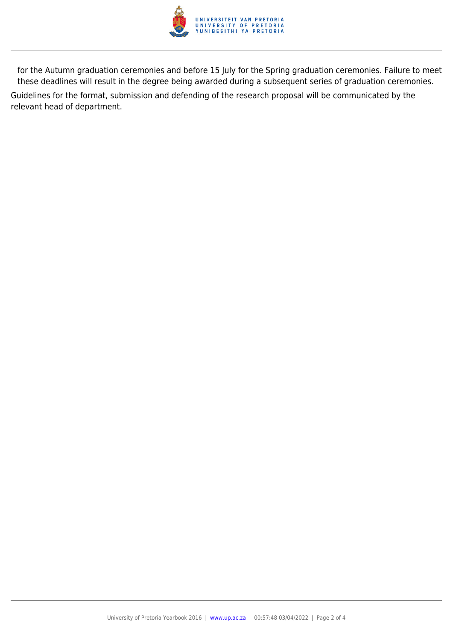

for the Autumn graduation ceremonies and before 15 July for the Spring graduation ceremonies. Failure to meet these deadlines will result in the degree being awarded during a subsequent series of graduation ceremonies. Guidelines for the format, submission and defending of the research proposal will be communicated by the relevant head of department.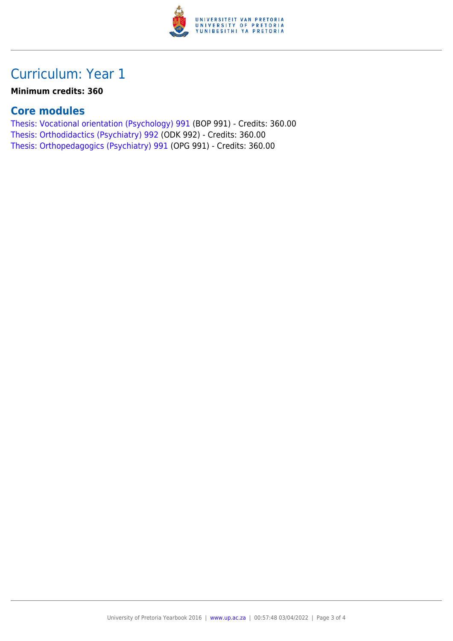

### Curriculum: Year 1

#### **Minimum credits: 360**

#### **Core modules**

[Thesis: Vocational orientation \(Psychology\) 991](https://www.up.ac.za/parents/yearbooks/2016/modules/view/BOP 991) (BOP 991) - Credits: 360.00 [Thesis: Orthodidactics \(Psychiatry\) 992](https://www.up.ac.za/parents/yearbooks/2016/modules/view/ODK 992) (ODK 992) - Credits: 360.00 [Thesis: Orthopedagogics \(Psychiatry\) 991](https://www.up.ac.za/parents/yearbooks/2016/modules/view/OPG 991) (OPG 991) - Credits: 360.00